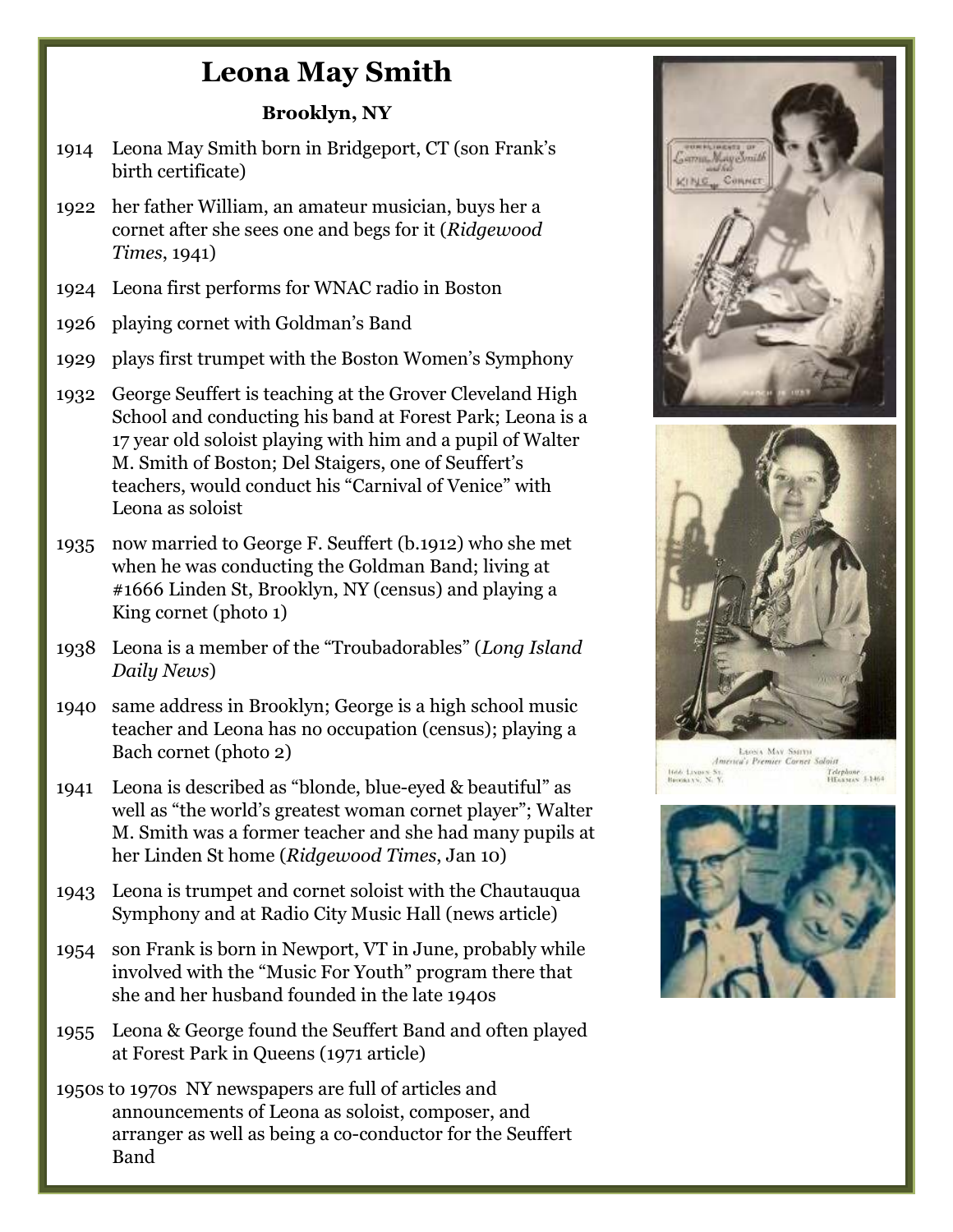## **Leona May Smith**

## **Brooklyn, NY**

- 1914 Leona May Smith born in Bridgeport, CT (son Frank's birth certificate)
- 1922 her father William, an amateur musician, buys her a cornet after she sees one and begs for it (*Ridgewood Times*, 1941)
- 1924 Leona first performs for WNAC radio in Boston
- 1926 playing cornet with Goldman's Band
- 1929 plays first trumpet with the Boston Women's Symphony
- 1932 George Seuffert is teaching at the Grover Cleveland High School and conducting his band at Forest Park; Leona is a 17 year old soloist playing with him and a pupil of Walter M. Smith of Boston; Del Staigers, one of Seuffert's teachers, would conduct his "Carnival of Venice" with Leona as soloist
- 1935 now married to George F. Seuffert (b.1912) who she met when he was conducting the Goldman Band; living at #1666 Linden St, Brooklyn, NY (census) and playing a King cornet (photo 1)
- 1938 Leona is a member of the "Troubadorables" (*Long Island Daily News*)
- 1940 same address in Brooklyn; George is a high school music teacher and Leona has no occupation (census); playing a Bach cornet (photo 2)
- 1941 Leona is described as "blonde, blue-eyed & beautiful" as well as "the world's greatest woman cornet player"; Walter M. Smith was a former teacher and she had many pupils at her Linden St home (*Ridgewood Times*, Jan 10)
- 1943 Leona is trumpet and cornet soloist with the Chautauqua Symphony and at Radio City Music Hall (news article)
- 1954 son Frank is born in Newport, VT in June, probably while involved with the "Music For Youth" program there that she and her husband founded in the late 1940s
- 1955 Leona & George found the Seuffert Band and often played at Forest Park in Queens (1971 article)
- 1950s to 1970s NY newspapers are full of articles and announcements of Leona as soloist, composer, and arranger as well as being a co-conductor for the Seuffert Band



Telephone<br>HEassess 5:1464 Inde Lives St.